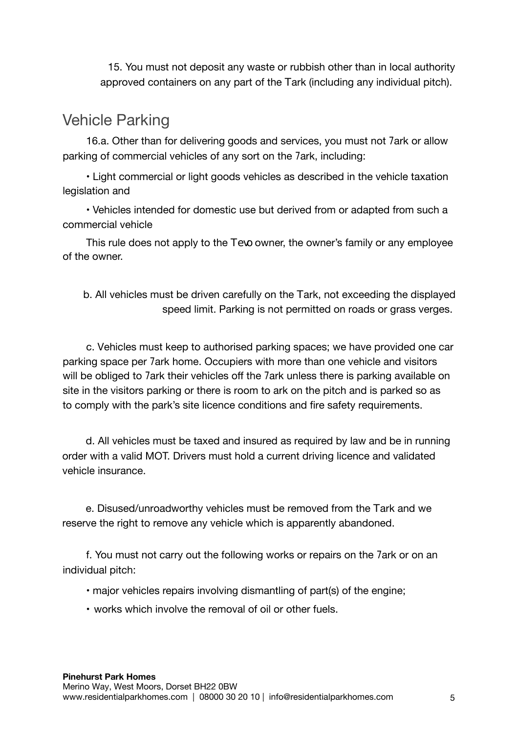15. You must not deposit any waste or rubbish other than in local authority approved containers on any part of the Hark (including any individual pitch).

## Vehicle Parking

16.a. Other than for delivering goods and services, you must not 7ark or allow parking of commercial vehicles of any sort on the 7ark, including:

• Light commercial or light goods vehicles as described in the vehicle taxation legislation and

• Vehicles intended for domestic use but derived from or adapted from such a commercial vehicle

This rule does not apply to the HY<sub>JC</sub> owner, the owner's family or any employee of the owner.

b. All vehicles must be driven carefully on the 7ark, not exceeding the displayed speed limit. Parking is not permitted on roads or grass verges.

c. Vehicles must keep to authorised parking spaces; we have provided one car parking space per 7ark home. Occupiers with more than one vehicle and visitors will be obliged to 7ark their vehicles off the 7ark unless there is parking available on site in the visitors parking or there is room to 7ark on the pitch and is parked so as to comply with the park's site licence conditions and fire safety requirements.

d. All vehicles must be taxed and insured as required by law and be in running order with a valid MOT. Drivers must hold a current driving licence and validated vehicle insurance.

e. Disused/unroadworthy vehicles must be removed from the Hark and we reserve the right to remove any vehicle which is apparently abandoned.

f.You must not carry out the following works or repairs on the 7ark or on an individual pitch:

• major vehicles repairs involving dismantling of part(s) of the engine;

• works which involve the removal of oil or other fuels.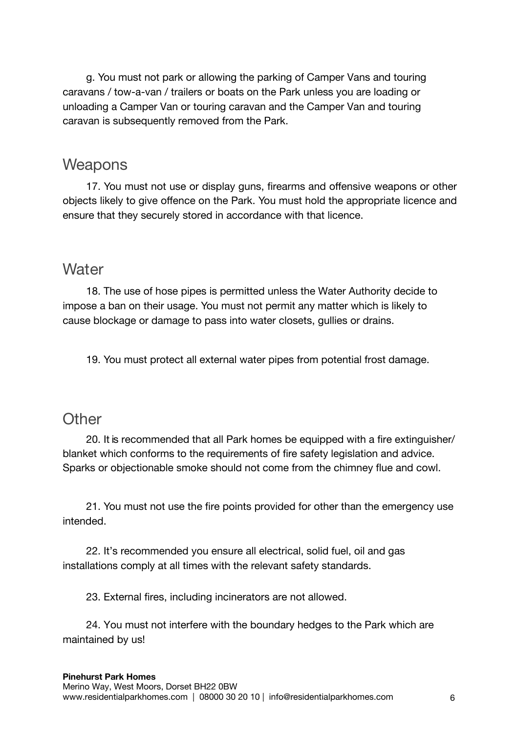g. You must not park or allowing the parking of Camper Vans and touring caravans / tow-a-van / trailers or boats on the Park unless you are loading or unloading a Camper Van or touring caravan and the Camper Van and touring caravan is subsequently removed from the Park.

## **Weapons**

17. You must not use or display guns, firearms and offensive weapons or other objects likely to give offence on the Park. You must hold the appropriate licence and ensure that they securely stored in accordance with that licence.

## **Water**

18. The use of hose pipes is permitted unless the Water Authority decide to impose a ban on their usage. You must not permit any matter which is likely to cause blockage or damage to pass into water closets, gullies or drains.

19. You must protect all external water pipes from potential frost damage.

## **Other**

20. It is recommended that all Park homes be equipped with a fire extinguisher/ blanket which conforms to the requirements of fire safety legislation and advice. Sparks or objectionable smoke should not come from the chimney flue and cowl.

21. You must not use the fire points provided for other than the emergency use intended.

22. It's recommended you ensure all electrical, solid fuel, oil and gas installations comply at all times with the relevant safety standards.

23. External fires, including incinerators are not allowed.

24. You must not interfere with the boundary hedges to the Park which are maintained by us!